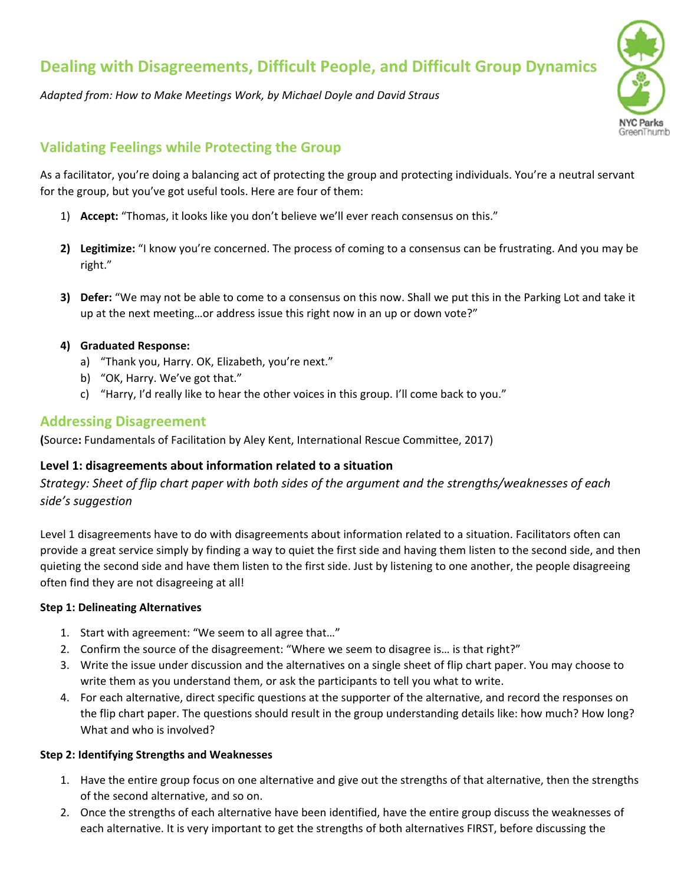# **Dealing with Disagreements, Difficult People, and Difficult Group Dynamics**

*Adapted from: How to Make Meetings Work, by Michael Doyle and David Straus*



## **Validating Feelings while Protecting the Group**

As a facilitator, you're doing a balancing act of protecting the group and protecting individuals. You're a neutral servant for the group, but you've got useful tools. Here are four of them:

- 1) **Accept:** "Thomas, it looks like you don't believe we'll ever reach consensus on this."
- **2) Legitimize:** "I know you're concerned. The process of coming to a consensus can be frustrating. And you may be right."
- **3) Defer:** "We may not be able to come to a consensus on this now. Shall we put this in the Parking Lot and take it up at the next meeting…or address issue this right now in an up or down vote?"

#### **4) Graduated Response:**

- a) "Thank you, Harry. OK, Elizabeth, you're next."
- b) "OK, Harry. We've got that."
- c) "Harry, I'd really like to hear the other voices in this group. I'll come back to you."

#### **Addressing Disagreement**

**(**Source**:** Fundamentals of Facilitation by Aley Kent, International Rescue Committee, 2017)

#### **Level 1: disagreements about information related to a situation**

*Strategy: Sheet of flip chart paper with both sides of the argument and the strengths/weaknesses of each side's suggestion*

Level 1 disagreements have to do with disagreements about information related to a situation. Facilitators often can provide a great service simply by finding a way to quiet the first side and having them listen to the second side, and then quieting the second side and have them listen to the first side. Just by listening to one another, the people disagreeing often find they are not disagreeing at all!

#### **Step 1: Delineating Alternatives**

- 1. Start with agreement: "We seem to all agree that…"
- 2. Confirm the source of the disagreement: "Where we seem to disagree is… is that right?"
- 3. Write the issue under discussion and the alternatives on a single sheet of flip chart paper. You may choose to write them as you understand them, or ask the participants to tell you what to write.
- 4. For each alternative, direct specific questions at the supporter of the alternative, and record the responses on the flip chart paper. The questions should result in the group understanding details like: how much? How long? What and who is involved?

#### **Step 2: Identifying Strengths and Weaknesses**

- 1. Have the entire group focus on one alternative and give out the strengths of that alternative, then the strengths of the second alternative, and so on.
- 2. Once the strengths of each alternative have been identified, have the entire group discuss the weaknesses of each alternative. It is very important to get the strengths of both alternatives FIRST, before discussing the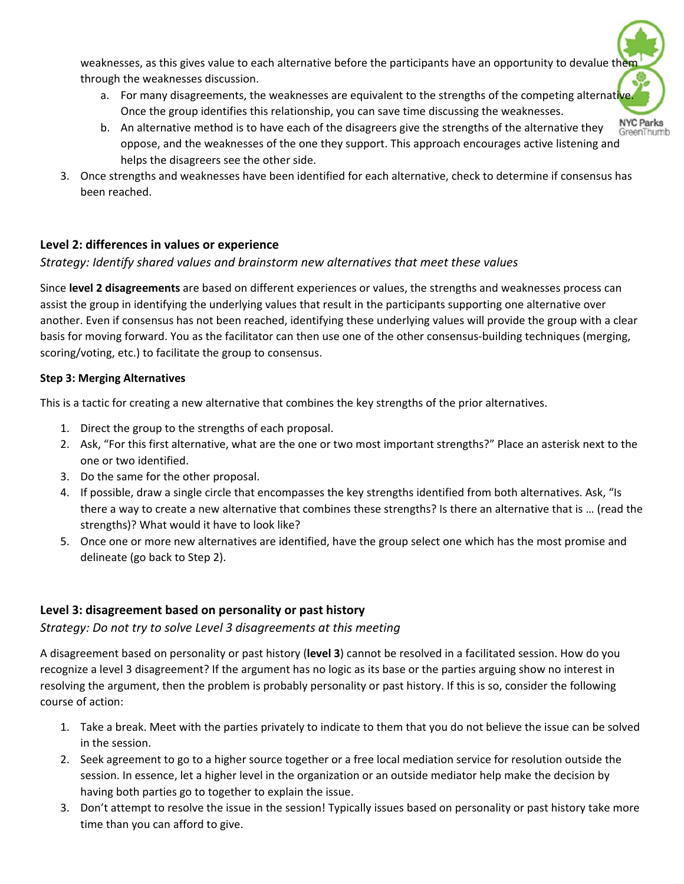weaknesses, as this gives value to each alternative before the participants have an opportunity to devalue the through the weaknesses discussion.

- a. For many disagreements, the weaknesses are equivalent to the strengths of the competing alternative Once the group identifies this relationship, you can save time discussing the weaknesses.
- **NYC Parks** b. An alternative method is to have each of the disagreers give the strengths of the alternative they GreenThumb oppose, and the weaknesses of the one they support. This approach encourages active listening and helps the disagreers see the other side.
- 3. Once strengths and weaknesses have been identified for each alternative, check to determine if consensus has been reached.

## **Level 2: differences in values or experience**

## *Strategy: Identify shared values and brainstorm new alternatives that meet these values*

Since **level 2 disagreements** are based on different experiences or values, the strengths and weaknesses process can assist the group in identifying the underlying values that result in the participants supporting one alternative over another. Even if consensus has not been reached, identifying these underlying values will provide the group with a clear basis for moving forward. You as the facilitator can then use one of the other consensus‐building techniques (merging, scoring/voting, etc.) to facilitate the group to consensus.

#### **Step 3: Merging Alternatives**

This is a tactic for creating a new alternative that combines the key strengths of the prior alternatives.

- 1. Direct the group to the strengths of each proposal.
- 2. Ask, "For this first alternative, what are the one or two most important strengths?" Place an asterisk next to the one or two identified.
- 3. Do the same for the other proposal.
- 4. If possible, draw a single circle that encompasses the key strengths identified from both alternatives. Ask, "Is there a way to create a new alternative that combines these strengths? Is there an alternative that is … (read the strengths)? What would it have to look like?
- 5. Once one or more new alternatives are identified, have the group select one which has the most promise and delineate (go back to Step 2).

## **Level 3: disagreement based on personality or past history**

## *Strategy: Do not try to solve Level 3 disagreements at this meeting*

A disagreement based on personality or past history (**level 3**) cannot be resolved in a facilitated session. How do you recognize a level 3 disagreement? If the argument has no logic as its base or the parties arguing show no interest in resolving the argument, then the problem is probably personality or past history. If this is so, consider the following course of action:

- 1. Take a break. Meet with the parties privately to indicate to them that you do not believe the issue can be solved in the session.
- 2. Seek agreement to go to a higher source together or a free local mediation service for resolution outside the session. In essence, let a higher level in the organization or an outside mediator help make the decision by having both parties go to together to explain the issue.
- 3. Don't attempt to resolve the issue in the session! Typically issues based on personality or past history take more time than you can afford to give.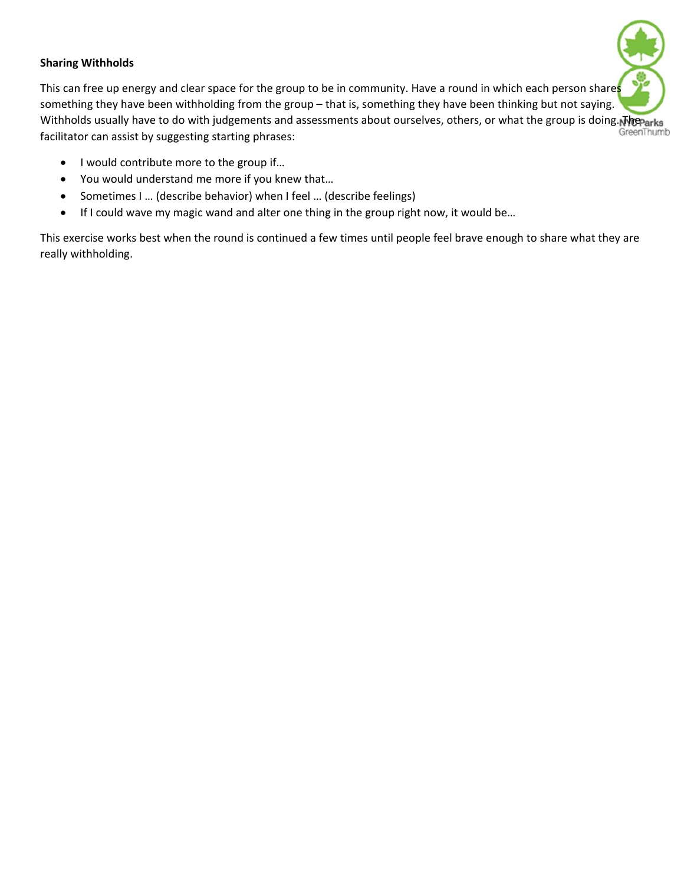#### **Sharing Withholds**

This can free up energy and clear space for the group to be in community. Have a round in which each person shares something they have been withholding from the group – that is, something they have been thinking but not saying. Withholds usually have to do with judgements and assessments about ourselves, others, or what the group is doing. The Parks<br>GreenThumb facilitator can assist by suggesting starting phrases:

- I would contribute more to the group if...
- You would understand me more if you knew that…
- Sometimes I ... (describe behavior) when I feel ... (describe feelings)
- If I could wave my magic wand and alter one thing in the group right now, it would be...

This exercise works best when the round is continued a few times until people feel brave enough to share what they are really withholding.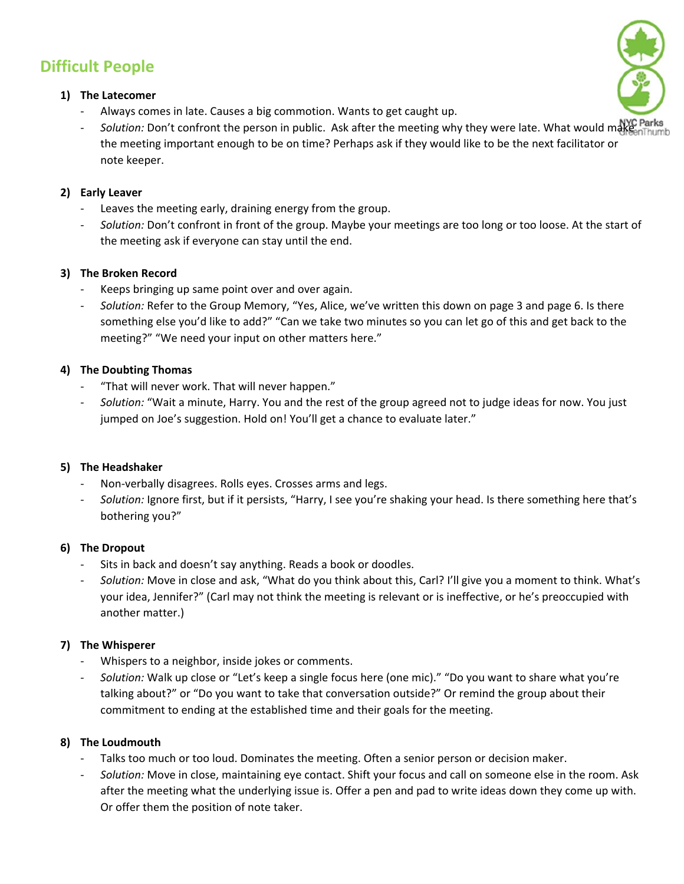## **Difficult People**

#### **1) The Latecomer**

- ‐ Always comes in late. Causes a big commotion. Wants to get caught up.
- Solution: Don't confront the person in public. Ask after the meeting why they were late. What would makenThum the meeting important enough to be on time? Perhaps ask if they would like to be the next facilitator or note keeper.

### **2) Early Leaver**

- ‐ Leaves the meeting early, draining energy from the group.
- ‐ *Solution:* Don't confront in front of the group. Maybe your meetings are too long or too loose. At the start of the meeting ask if everyone can stay until the end.

#### **3) The Broken Record**

- Keeps bringing up same point over and over again.
- ‐ *Solution:* Refer to the Group Memory, "Yes, Alice, we've written this down on page 3 and page 6. Is there something else you'd like to add?" "Can we take two minutes so you can let go of this and get back to the meeting?" "We need your input on other matters here."

#### **4) The Doubting Thomas**

- ‐ "That will never work. That will never happen."
- ‐ *Solution:* "Wait a minute, Harry. You and the rest of the group agreed not to judge ideas for now. You just jumped on Joe's suggestion. Hold on! You'll get a chance to evaluate later."

#### **5) The Headshaker**

- ‐ Non‐verbally disagrees. Rolls eyes. Crosses arms and legs.
- ‐ *Solution:* Ignore first, but if it persists, "Harry, I see you're shaking your head. Is there something here that's bothering you?"

#### **6) The Dropout**

- Sits in back and doesn't say anything. Reads a book or doodles.
- ‐ *Solution:* Move in close and ask, "What do you think about this, Carl? I'll give you a moment to think. What's your idea, Jennifer?" (Carl may not think the meeting is relevant or is ineffective, or he's preoccupied with another matter.)

## **7) The Whisperer**

- ‐ Whispers to a neighbor, inside jokes or comments.
- ‐ *Solution:* Walk up close or "Let's keep a single focus here (one mic)." "Do you want to share what you're talking about?" or "Do you want to take that conversation outside?" Or remind the group about their commitment to ending at the established time and their goals for the meeting.

## **8) The Loudmouth**

- ‐ Talks too much or too loud. Dominates the meeting. Often a senior person or decision maker.
- ‐ *Solution:* Move in close, maintaining eye contact. Shift your focus and call on someone else in the room. Ask after the meeting what the underlying issue is. Offer a pen and pad to write ideas down they come up with. Or offer them the position of note taker.

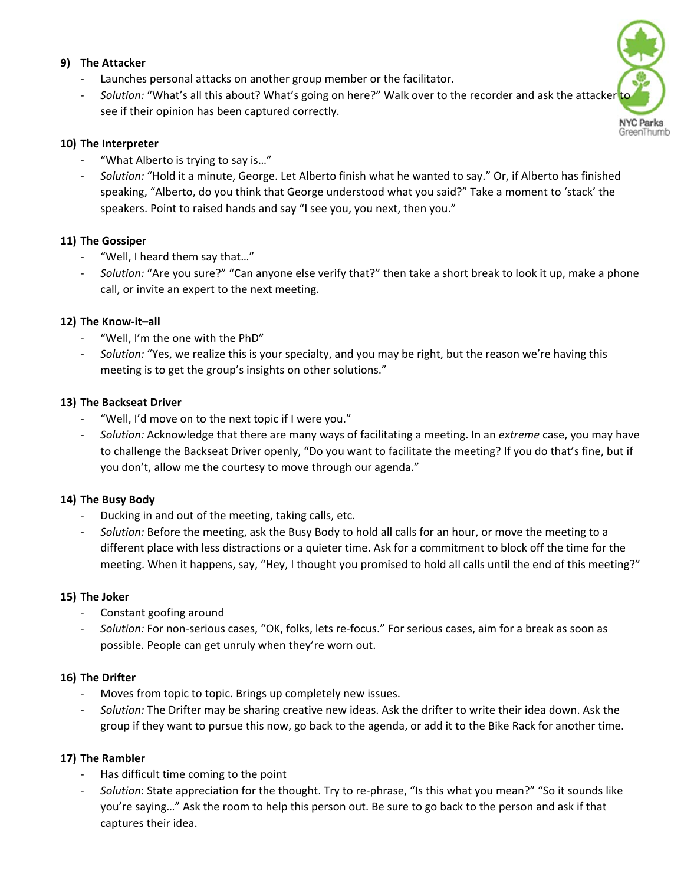#### **9) The Attacker**

- Launches personal attacks on another group member or the facilitator.
- Solution: "What's all this about? What's going on here?" Walk over to the recorder and ask the attacker see if their opinion has been captured correctly.

#### **10) The Interpreter**

- ‐ "What Alberto is trying to say is…"
- ‐ *Solution:* "Hold it a minute, George. Let Alberto finish what he wanted to say." Or, if Alberto has finished speaking, "Alberto, do you think that George understood what you said?" Take a moment to 'stack' the speakers. Point to raised hands and say "I see you, you next, then you."

#### **11) The Gossiper**

- ‐ "Well, I heard them say that…"
- ‐ *Solution:* "Are you sure?" "Can anyone else verify that?" then take a short break to look it up, make a phone call, or invite an expert to the next meeting.

#### **12) The Know‐it–all**

- ‐ "Well, I'm the one with the PhD"
- ‐ *Solution:* "Yes, we realize this is your specialty, and you may be right, but the reason we're having this meeting is to get the group's insights on other solutions."

#### **13) The Backseat Driver**

- ‐ "Well, I'd move on to the next topic if I were you."
- ‐ *Solution:* Acknowledge that there are many ways of facilitating a meeting. In an *extreme* case, you may have to challenge the Backseat Driver openly, "Do you want to facilitate the meeting? If you do that's fine, but if you don't, allow me the courtesy to move through our agenda."

#### **14) The Busy Body**

- ‐ Ducking in and out of the meeting, taking calls, etc.
- ‐ *Solution:* Before the meeting, ask the Busy Body to hold all calls for an hour, or move the meeting to a different place with less distractions or a quieter time. Ask for a commitment to block off the time for the meeting. When it happens, say, "Hey, I thought you promised to hold all calls until the end of this meeting?"

#### **15) The Joker**

- ‐ Constant goofing around
- ‐ *Solution:* For non‐serious cases, "OK, folks, lets re‐focus." For serious cases, aim for a break as soon as possible. People can get unruly when they're worn out.

#### **16) The Drifter**

- Moves from topic to topic. Brings up completely new issues.
- ‐ *Solution:* The Drifter may be sharing creative new ideas. Ask the drifter to write their idea down. Ask the group if they want to pursue this now, go back to the agenda, or add it to the Bike Rack for another time.

#### **17) The Rambler**

- ‐ Has difficult time coming to the point
- Solution: State appreciation for the thought. Try to re-phrase, "Is this what you mean?" "So it sounds like you're saying…" Ask the room to help this person out. Be sure to go back to the person and ask if that captures their idea.